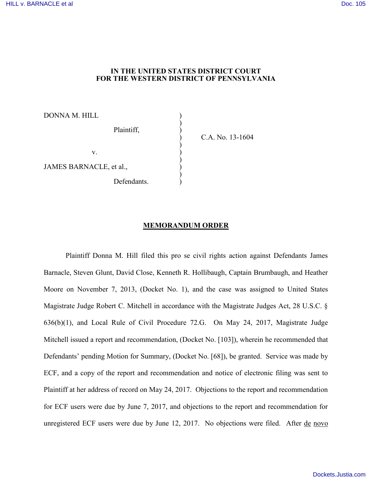## **IN THE UNITED STATES DISTRICT COURT FOR THE WESTERN DISTRICT OF PENNSYLVANIA**

DONNA M. HILL ) ) Plaintiff, ) )  $\mathbf{v}$ .  $\qquad \qquad \qquad$  ) ) JAMES BARNACLE, et al., ) Defendants.

) C.A. No. 13-1604

## **MEMORANDUM ORDER**

Plaintiff Donna M. Hill filed this pro se civil rights action against Defendants James Barnacle, Steven Glunt, David Close, Kenneth R. Hollibaugh, Captain Brumbaugh, and Heather Moore on November 7, 2013, (Docket No. 1), and the case was assigned to United States Magistrate Judge Robert C. Mitchell in accordance with the Magistrate Judges Act, 28 U.S.C. § 636(b)(1), and Local Rule of Civil Procedure 72.G. On May 24, 2017, Magistrate Judge Mitchell issued a report and recommendation, (Docket No. [103]), wherein he recommended that Defendants' pending Motion for Summary, (Docket No. [68]), be granted. Service was made by ECF, and a copy of the report and recommendation and notice of electronic filing was sent to Plaintiff at her address of record on May 24, 2017. Objections to the report and recommendation for ECF users were due by June 7, 2017, and objections to the report and recommendation for unregistered ECF users were due by June 12, 2017. No objections were filed. After de novo